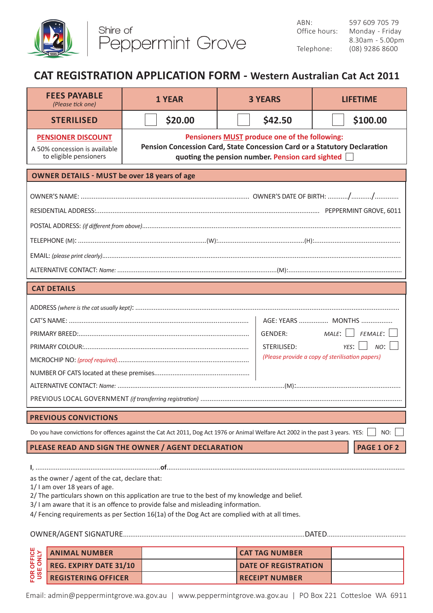

## **CAT REGISTRATION APPLICATION FORM - Western Australian Cat Act 2011**

| <b>FEES PAYABLE</b><br>(Please tick one)                                                                                                                                                                                                                                                                                                                             | <b>1 YEAR</b>                                                                                                                                                                         | <b>3 YEARS</b> | <b>LIFETIME</b>            |  |  |
|----------------------------------------------------------------------------------------------------------------------------------------------------------------------------------------------------------------------------------------------------------------------------------------------------------------------------------------------------------------------|---------------------------------------------------------------------------------------------------------------------------------------------------------------------------------------|----------------|----------------------------|--|--|
| <b>STERILISED</b>                                                                                                                                                                                                                                                                                                                                                    | \$20.00                                                                                                                                                                               | \$42.50        | \$100.00                   |  |  |
| <b>PENSIONER DISCOUNT</b><br>A 50% concession is available<br>to eligible pensioners                                                                                                                                                                                                                                                                                 | Pensioners <b>MUST</b> produce one of the following:<br>Pension Concession Card, State Concession Card or a Statutory Declaration<br>quoting the pension number. Pension card sighted |                |                            |  |  |
| <b>OWNER DETAILS - MUST be over 18 years of age</b>                                                                                                                                                                                                                                                                                                                  |                                                                                                                                                                                       |                |                            |  |  |
|                                                                                                                                                                                                                                                                                                                                                                      |                                                                                                                                                                                       |                |                            |  |  |
| <b>CAT DETAILS</b>                                                                                                                                                                                                                                                                                                                                                   |                                                                                                                                                                                       |                |                            |  |  |
| AGE: YEARS  MONTHS<br>GENDER:<br>STERILISED:<br>YES:<br>(Please provide a copy of sterilisation papers)                                                                                                                                                                                                                                                              |                                                                                                                                                                                       |                | $MALE:$     FEMALE:<br>NO: |  |  |
| <b>PREVIOUS CONVICTIONS</b>                                                                                                                                                                                                                                                                                                                                          |                                                                                                                                                                                       |                |                            |  |  |
| Do you have convictions for offences against the Cat Act 2011, Dog Act 1976 or Animal Welfare Act 2002 in the past 3 years. YES:<br>NO:                                                                                                                                                                                                                              |                                                                                                                                                                                       |                |                            |  |  |
| <b>PAGE 1 OF 2</b><br>PLEASE READ AND SIGN THE OWNER / AGENT DECLARATION                                                                                                                                                                                                                                                                                             |                                                                                                                                                                                       |                |                            |  |  |
| as the owner / agent of the cat, declare that:<br>1/ I am over 18 years of age.<br>2/ The particulars shown on this application are true to the best of my knowledge and belief.<br>3/ I am aware that it is an offence to provide false and misleading information.<br>4/ Fencing requirements as per Section 16(1a) of the Dog Act are complied with at all times. |                                                                                                                                                                                       |                |                            |  |  |

| <b>U</b> ><br><b>DEF</b> | <b>ANIMAL NUMBER</b>          | I CAT TAG NUMBER            |  |
|--------------------------|-------------------------------|-----------------------------|--|
|                          | <b>REG. EXPIRY DATE 31/10</b> | <b>DATE OF REGISTRATION</b> |  |
| <u>ថ្ងៃ</u>              | <b>REGISTERING OFFICER</b>    | <b>RECEIPT NUMBER</b>       |  |